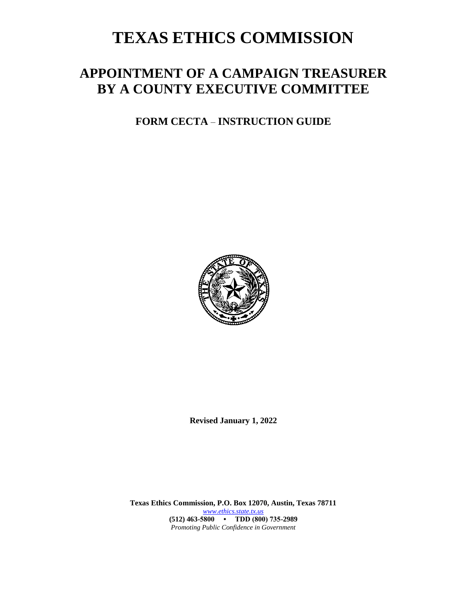# **TEXAS ETHICS COMMISSION**

# **APPOINTMENT OF A CAMPAIGN TREASURER BY A COUNTY EXECUTIVE COMMITTEE**

**FORM CECTA** – **INSTRUCTION GUIDE**



**Revised January 1, 2022**

**Texas Ethics Commission, P.O. Box 12070, Austin, Texas 78711** *[www.ethics.state.tx.us](http://www.ethics.state.tx.us/)* **(512) 463-5800 • TDD (800) 735-2989** *Promoting Public Confidence in Government*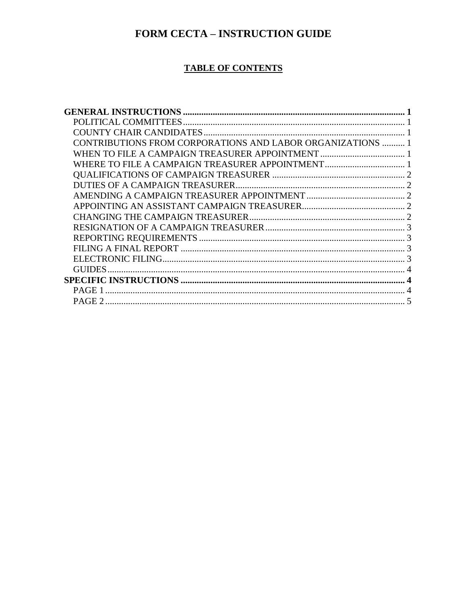## FORM CECTA - INSTRUCTION GUIDE

#### **TABLE OF CONTENTS**

| CONTRIBUTIONS FROM CORPORATIONS AND LABOR ORGANIZATIONS  1 |  |
|------------------------------------------------------------|--|
|                                                            |  |
|                                                            |  |
|                                                            |  |
|                                                            |  |
|                                                            |  |
|                                                            |  |
|                                                            |  |
|                                                            |  |
|                                                            |  |
|                                                            |  |
|                                                            |  |
| GUIDES                                                     |  |
|                                                            |  |
|                                                            |  |
|                                                            |  |
|                                                            |  |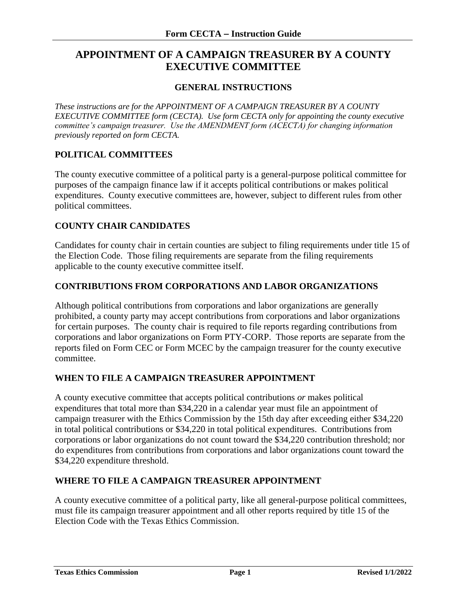### **APPOINTMENT OF A CAMPAIGN TREASURER BY A COUNTY EXECUTIVE COMMITTEE**

#### **GENERAL INSTRUCTIONS**

<span id="page-2-0"></span>*These instructions are for the APPOINTMENT OF A CAMPAIGN TREASURER BY A COUNTY EXECUTIVE COMMITTEE form (CECTA). Use form CECTA only for appointing the county executive committee's campaign treasurer. Use the AMENDMENT form (ACECTA) for changing information previously reported on form CECTA.*

#### <span id="page-2-1"></span>**POLITICAL COMMITTEES**

The county executive committee of a political party is a general-purpose political committee for purposes of the campaign finance law if it accepts political contributions or makes political expenditures. County executive committees are, however, subject to different rules from other political committees.

#### <span id="page-2-2"></span>**COUNTY CHAIR CANDIDATES**

Candidates for county chair in certain counties are subject to filing requirements under title 15 of the Election Code. Those filing requirements are separate from the filing requirements applicable to the county executive committee itself.

#### <span id="page-2-3"></span>**CONTRIBUTIONS FROM CORPORATIONS AND LABOR ORGANIZATIONS**

Although political contributions from corporations and labor organizations are generally prohibited, a county party may accept contributions from corporations and labor organizations for certain purposes. The county chair is required to file reports regarding contributions from corporations and labor organizations on Form PTY-CORP. Those reports are separate from the reports filed on Form CEC or Form MCEC by the campaign treasurer for the county executive committee.

#### <span id="page-2-4"></span>**WHEN TO FILE A CAMPAIGN TREASURER APPOINTMENT**

A county executive committee that accepts political contributions *or* makes political expenditures that total more than \$34,220 in a calendar year must file an appointment of campaign treasurer with the Ethics Commission by the 15th day after exceeding either \$34,220 in total political contributions or \$34,220 in total political expenditures. Contributions from corporations or labor organizations do not count toward the \$34,220 contribution threshold; nor do expenditures from contributions from corporations and labor organizations count toward the \$34,220 expenditure threshold.

#### <span id="page-2-5"></span>**WHERE TO FILE A CAMPAIGN TREASURER APPOINTMENT**

<span id="page-2-6"></span>A county executive committee of a political party, like all general-purpose political committees, must file its campaign treasurer appointment and all other reports required by title 15 of the Election Code with the Texas Ethics Commission.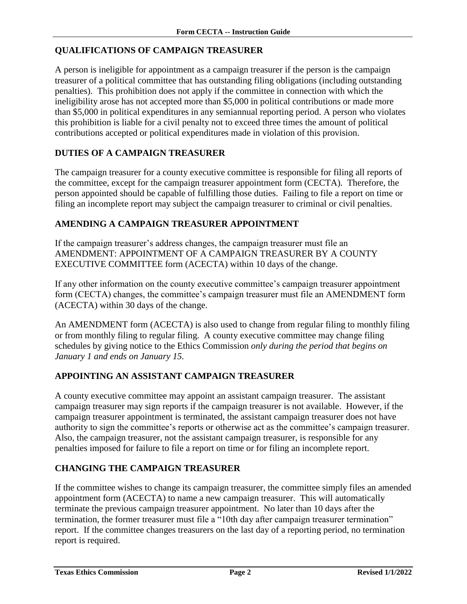#### **QUALIFICATIONS OF CAMPAIGN TREASURER**

A person is ineligible for appointment as a campaign treasurer if the person is the campaign treasurer of a political committee that has outstanding filing obligations (including outstanding penalties). This prohibition does not apply if the committee in connection with which the ineligibility arose has not accepted more than \$5,000 in political contributions or made more than \$5,000 in political expenditures in any semiannual reporting period. A person who violates this prohibition is liable for a civil penalty not to exceed three times the amount of political contributions accepted or political expenditures made in violation of this provision.

#### <span id="page-3-0"></span>**DUTIES OF A CAMPAIGN TREASURER**

The campaign treasurer for a county executive committee is responsible for filing all reports of the committee, except for the campaign treasurer appointment form (CECTA). Therefore, the person appointed should be capable of fulfilling those duties. Failing to file a report on time or filing an incomplete report may subject the campaign treasurer to criminal or civil penalties.

#### <span id="page-3-1"></span>**AMENDING A CAMPAIGN TREASURER APPOINTMENT**

If the campaign treasurer's address changes, the campaign treasurer must file an AMENDMENT: APPOINTMENT OF A CAMPAIGN TREASURER BY A COUNTY EXECUTIVE COMMITTEE form (ACECTA) within 10 days of the change.

If any other information on the county executive committee's campaign treasurer appointment form (CECTA) changes, the committee's campaign treasurer must file an AMENDMENT form (ACECTA) within 30 days of the change.

An AMENDMENT form (ACECTA) is also used to change from regular filing to monthly filing or from monthly filing to regular filing. A county executive committee may change filing schedules by giving notice to the Ethics Commission *only during the period that begins on January 1 and ends on January 15.*

#### <span id="page-3-2"></span>**APPOINTING AN ASSISTANT CAMPAIGN TREASURER**

A county executive committee may appoint an assistant campaign treasurer. The assistant campaign treasurer may sign reports if the campaign treasurer is not available. However, if the campaign treasurer appointment is terminated, the assistant campaign treasurer does not have authority to sign the committee's reports or otherwise act as the committee's campaign treasurer. Also, the campaign treasurer, not the assistant campaign treasurer, is responsible for any penalties imposed for failure to file a report on time or for filing an incomplete report.

#### <span id="page-3-3"></span>**CHANGING THE CAMPAIGN TREASURER**

If the committee wishes to change its campaign treasurer, the committee simply files an amended appointment form (ACECTA) to name a new campaign treasurer. This will automatically terminate the previous campaign treasurer appointment. No later than 10 days after the termination, the former treasurer must file a "10th day after campaign treasurer termination" report. If the committee changes treasurers on the last day of a reporting period, no termination report is required.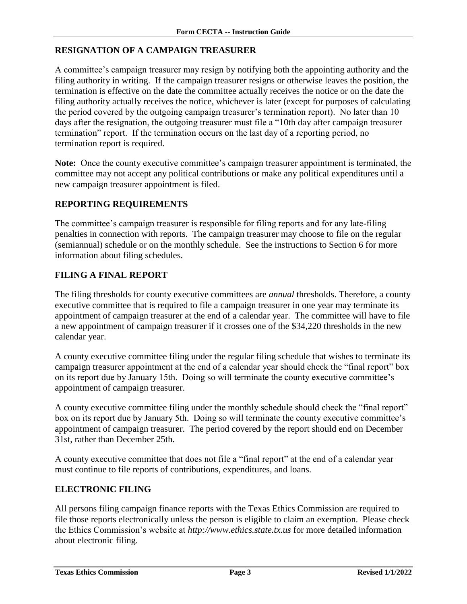#### <span id="page-4-0"></span>**RESIGNATION OF A CAMPAIGN TREASURER**

A committee's campaign treasurer may resign by notifying both the appointing authority and the filing authority in writing. If the campaign treasurer resigns or otherwise leaves the position, the termination is effective on the date the committee actually receives the notice or on the date the filing authority actually receives the notice, whichever is later (except for purposes of calculating the period covered by the outgoing campaign treasurer's termination report). No later than 10 days after the resignation, the outgoing treasurer must file a "10th day after campaign treasurer termination" report. If the termination occurs on the last day of a reporting period, no termination report is required.

**Note:** Once the county executive committee's campaign treasurer appointment is terminated, the committee may not accept any political contributions or make any political expenditures until a new campaign treasurer appointment is filed.

#### <span id="page-4-1"></span>**REPORTING REQUIREMENTS**

The committee's campaign treasurer is responsible for filing reports and for any late-filing penalties in connection with reports. The campaign treasurer may choose to file on the regular (semiannual) schedule or on the monthly schedule. See the instructions to Section 6 for more information about filing schedules.

#### <span id="page-4-2"></span>**FILING A FINAL REPORT**

The filing thresholds for county executive committees are *annual* thresholds. Therefore, a county executive committee that is required to file a campaign treasurer in one year may terminate its appointment of campaign treasurer at the end of a calendar year. The committee will have to file a new appointment of campaign treasurer if it crosses one of the \$34,220 thresholds in the new calendar year.

A county executive committee filing under the regular filing schedule that wishes to terminate its campaign treasurer appointment at the end of a calendar year should check the "final report" box on its report due by January 15th. Doing so will terminate the county executive committee's appointment of campaign treasurer.

A county executive committee filing under the monthly schedule should check the "final report" box on its report due by January 5th. Doing so will terminate the county executive committee's appointment of campaign treasurer. The period covered by the report should end on December 31st, rather than December 25th.

A county executive committee that does not file a "final report" at the end of a calendar year must continue to file reports of contributions, expenditures, and loans.

#### <span id="page-4-3"></span>**ELECTRONIC FILING**

All persons filing campaign finance reports with the Texas Ethics Commission are required to file those reports electronically unless the person is eligible to claim an exemption. Please check the Ethics Commission's website at *http://www.ethics.state.tx.us* for more detailed information about electronic filing.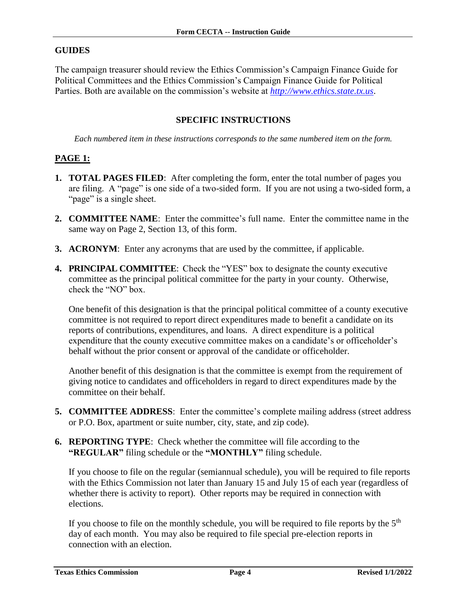#### <span id="page-5-0"></span>**GUIDES**

The campaign treasurer should review the Ethics Commission's Campaign Finance Guide for Political Committees and the Ethics Commission's Campaign Finance Guide for Political Parties. Both are available on the commission's website at *[http://www.ethics.state.tx.us](http://www.ethics.state.tx.us/)*.

#### **SPECIFIC INSTRUCTIONS**

<span id="page-5-1"></span>*Each numbered item in these instructions corresponds to the same numbered item on the form.*

#### <span id="page-5-2"></span>**PAGE 1:**

- **1. TOTAL PAGES FILED**: After completing the form, enter the total number of pages you are filing. A "page" is one side of a two-sided form. If you are not using a two-sided form, a "page" is a single sheet.
- **2. COMMITTEE NAME**: Enter the committee's full name. Enter the committee name in the same way on Page 2, Section 13, of this form.
- **3. ACRONYM**: Enter any acronyms that are used by the committee, if applicable.
- **4. PRINCIPAL COMMITTEE**: Check the "YES" box to designate the county executive committee as the principal political committee for the party in your county. Otherwise, check the "NO" box.

One benefit of this designation is that the principal political committee of a county executive committee is not required to report direct expenditures made to benefit a candidate on its reports of contributions, expenditures, and loans. A direct expenditure is a political expenditure that the county executive committee makes on a candidate's or officeholder's behalf without the prior consent or approval of the candidate or officeholder.

Another benefit of this designation is that the committee is exempt from the requirement of giving notice to candidates and officeholders in regard to direct expenditures made by the committee on their behalf.

- **5. COMMITTEE ADDRESS**: Enter the committee's complete mailing address (street address or P.O. Box, apartment or suite number, city, state, and zip code).
- **6. REPORTING TYPE**: Check whether the committee will file according to the **"REGULAR"** filing schedule or the **"MONTHLY"** filing schedule.

If you choose to file on the regular (semiannual schedule), you will be required to file reports with the Ethics Commission not later than January 15 and July 15 of each year (regardless of whether there is activity to report). Other reports may be required in connection with elections.

If you choose to file on the monthly schedule, you will be required to file reports by the  $5<sup>th</sup>$ day of each month. You may also be required to file special pre-election reports in connection with an election.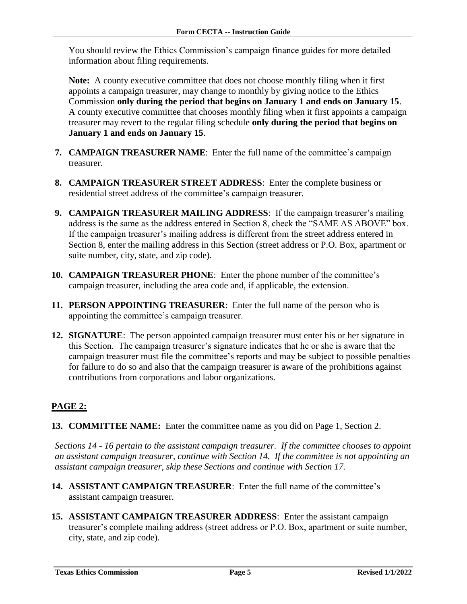You should review the Ethics Commission's campaign finance guides for more detailed information about filing requirements.

**Note:** A county executive committee that does not choose monthly filing when it first appoints a campaign treasurer, may change to monthly by giving notice to the Ethics Commission **only during the period that begins on January 1 and ends on January 15**. A county executive committee that chooses monthly filing when it first appoints a campaign treasurer may revert to the regular filing schedule **only during the period that begins on January 1 and ends on January 15**.

- **7. CAMPAIGN TREASURER NAME**: Enter the full name of the committee's campaign treasurer.
- **8. CAMPAIGN TREASURER STREET ADDRESS**: Enter the complete business or residential street address of the committee's campaign treasurer.
- **9. CAMPAIGN TREASURER MAILING ADDRESS**: If the campaign treasurer's mailing address is the same as the address entered in Section 8, check the "SAME AS ABOVE" box. If the campaign treasurer's mailing address is different from the street address entered in Section 8, enter the mailing address in this Section (street address or P.O. Box, apartment or suite number, city, state, and zip code).
- **10. CAMPAIGN TREASURER PHONE**: Enter the phone number of the committee's campaign treasurer, including the area code and, if applicable, the extension.
- **11. PERSON APPOINTING TREASURER**: Enter the full name of the person who is appointing the committee's campaign treasurer.
- **12. SIGNATURE**: The person appointed campaign treasurer must enter his or her signature in this Section. The campaign treasurer's signature indicates that he or she is aware that the campaign treasurer must file the committee's reports and may be subject to possible penalties for failure to do so and also that the campaign treasurer is aware of the prohibitions against contributions from corporations and labor organizations.

### <span id="page-6-0"></span>**PAGE 2:**

**13. COMMITTEE NAME:** Enter the committee name as you did on Page 1, Section 2.

*Sections 14 - 16 pertain to the assistant campaign treasurer. If the committee chooses to appoint an assistant campaign treasurer, continue with Section 14. If the committee is not appointing an assistant campaign treasurer, skip these Sections and continue with Section 17.*

- **14. ASSISTANT CAMPAIGN TREASURER**: Enter the full name of the committee's assistant campaign treasurer.
- **15. ASSISTANT CAMPAIGN TREASURER ADDRESS**: Enter the assistant campaign treasurer's complete mailing address (street address or P.O. Box, apartment or suite number, city, state, and zip code).